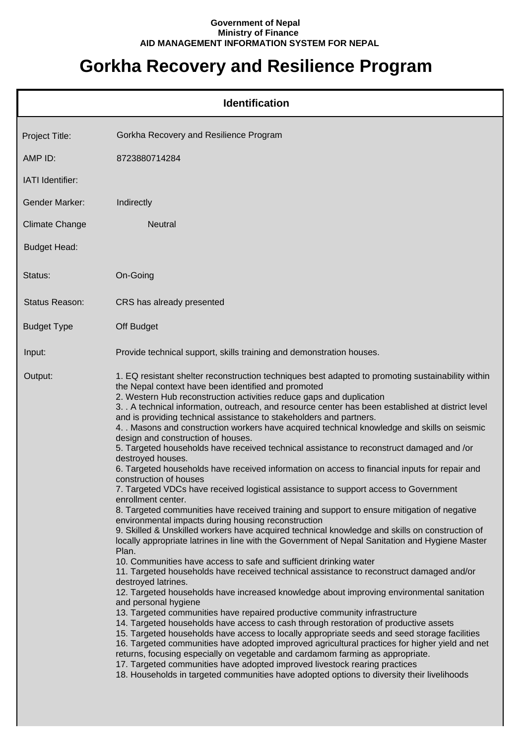## **Government of Nepal Ministry of Finance AID MANAGEMENT INFORMATION SYSTEM FOR NEPAL**

## **Gorkha Recovery and Resilience Program**

| <b>Identification</b> |                                                                                                                                                                                                                                                                                                                                                                                                                                                                                                                                                                                                                                                                                                                                                                                                                                                                                                                                                                                                                                                                                                                                                                                                                                                                                                                                                                                                                                                                                                                                                                                                                                                                                                                                                                                                                                                                                                                                                                                                                                                                                                                                                                                                                                    |  |
|-----------------------|------------------------------------------------------------------------------------------------------------------------------------------------------------------------------------------------------------------------------------------------------------------------------------------------------------------------------------------------------------------------------------------------------------------------------------------------------------------------------------------------------------------------------------------------------------------------------------------------------------------------------------------------------------------------------------------------------------------------------------------------------------------------------------------------------------------------------------------------------------------------------------------------------------------------------------------------------------------------------------------------------------------------------------------------------------------------------------------------------------------------------------------------------------------------------------------------------------------------------------------------------------------------------------------------------------------------------------------------------------------------------------------------------------------------------------------------------------------------------------------------------------------------------------------------------------------------------------------------------------------------------------------------------------------------------------------------------------------------------------------------------------------------------------------------------------------------------------------------------------------------------------------------------------------------------------------------------------------------------------------------------------------------------------------------------------------------------------------------------------------------------------------------------------------------------------------------------------------------------------|--|
| Project Title:        | Gorkha Recovery and Resilience Program                                                                                                                                                                                                                                                                                                                                                                                                                                                                                                                                                                                                                                                                                                                                                                                                                                                                                                                                                                                                                                                                                                                                                                                                                                                                                                                                                                                                                                                                                                                                                                                                                                                                                                                                                                                                                                                                                                                                                                                                                                                                                                                                                                                             |  |
| AMP ID:               | 8723880714284                                                                                                                                                                                                                                                                                                                                                                                                                                                                                                                                                                                                                                                                                                                                                                                                                                                                                                                                                                                                                                                                                                                                                                                                                                                                                                                                                                                                                                                                                                                                                                                                                                                                                                                                                                                                                                                                                                                                                                                                                                                                                                                                                                                                                      |  |
| IATI Identifier:      |                                                                                                                                                                                                                                                                                                                                                                                                                                                                                                                                                                                                                                                                                                                                                                                                                                                                                                                                                                                                                                                                                                                                                                                                                                                                                                                                                                                                                                                                                                                                                                                                                                                                                                                                                                                                                                                                                                                                                                                                                                                                                                                                                                                                                                    |  |
| <b>Gender Marker:</b> | Indirectly                                                                                                                                                                                                                                                                                                                                                                                                                                                                                                                                                                                                                                                                                                                                                                                                                                                                                                                                                                                                                                                                                                                                                                                                                                                                                                                                                                                                                                                                                                                                                                                                                                                                                                                                                                                                                                                                                                                                                                                                                                                                                                                                                                                                                         |  |
| <b>Climate Change</b> | <b>Neutral</b>                                                                                                                                                                                                                                                                                                                                                                                                                                                                                                                                                                                                                                                                                                                                                                                                                                                                                                                                                                                                                                                                                                                                                                                                                                                                                                                                                                                                                                                                                                                                                                                                                                                                                                                                                                                                                                                                                                                                                                                                                                                                                                                                                                                                                     |  |
| <b>Budget Head:</b>   |                                                                                                                                                                                                                                                                                                                                                                                                                                                                                                                                                                                                                                                                                                                                                                                                                                                                                                                                                                                                                                                                                                                                                                                                                                                                                                                                                                                                                                                                                                                                                                                                                                                                                                                                                                                                                                                                                                                                                                                                                                                                                                                                                                                                                                    |  |
| Status:               | On-Going                                                                                                                                                                                                                                                                                                                                                                                                                                                                                                                                                                                                                                                                                                                                                                                                                                                                                                                                                                                                                                                                                                                                                                                                                                                                                                                                                                                                                                                                                                                                                                                                                                                                                                                                                                                                                                                                                                                                                                                                                                                                                                                                                                                                                           |  |
| Status Reason:        | CRS has already presented                                                                                                                                                                                                                                                                                                                                                                                                                                                                                                                                                                                                                                                                                                                                                                                                                                                                                                                                                                                                                                                                                                                                                                                                                                                                                                                                                                                                                                                                                                                                                                                                                                                                                                                                                                                                                                                                                                                                                                                                                                                                                                                                                                                                          |  |
| <b>Budget Type</b>    | Off Budget                                                                                                                                                                                                                                                                                                                                                                                                                                                                                                                                                                                                                                                                                                                                                                                                                                                                                                                                                                                                                                                                                                                                                                                                                                                                                                                                                                                                                                                                                                                                                                                                                                                                                                                                                                                                                                                                                                                                                                                                                                                                                                                                                                                                                         |  |
| Input:                | Provide technical support, skills training and demonstration houses.                                                                                                                                                                                                                                                                                                                                                                                                                                                                                                                                                                                                                                                                                                                                                                                                                                                                                                                                                                                                                                                                                                                                                                                                                                                                                                                                                                                                                                                                                                                                                                                                                                                                                                                                                                                                                                                                                                                                                                                                                                                                                                                                                               |  |
| Output:               | 1. EQ resistant shelter reconstruction techniques best adapted to promoting sustainability within<br>the Nepal context have been identified and promoted<br>2. Western Hub reconstruction activities reduce gaps and duplication<br>3. . A technical information, outreach, and resource center has been established at district level<br>and is providing technical assistance to stakeholders and partners.<br>4. Masons and construction workers have acquired technical knowledge and skills on seismic<br>design and construction of houses.<br>5. Targeted households have received technical assistance to reconstruct damaged and /or<br>destroyed houses.<br>6. Targeted households have received information on access to financial inputs for repair and<br>construction of houses<br>7. Targeted VDCs have received logistical assistance to support access to Government<br>enrollment center.<br>8. Targeted communities have received training and support to ensure mitigation of negative<br>environmental impacts during housing reconstruction<br>9. Skilled & Unskilled workers have acquired technical knowledge and skills on construction of<br>locally appropriate latrines in line with the Government of Nepal Sanitation and Hygiene Master<br>Plan.<br>10. Communities have access to safe and sufficient drinking water<br>11. Targeted households have received technical assistance to reconstruct damaged and/or<br>destroyed latrines.<br>12. Targeted households have increased knowledge about improving environmental sanitation<br>and personal hygiene<br>13. Targeted communities have repaired productive community infrastructure<br>14. Targeted households have access to cash through restoration of productive assets<br>15. Targeted households have access to locally appropriate seeds and seed storage facilities<br>16. Targeted communities have adopted improved agricultural practices for higher yield and net<br>returns, focusing especially on vegetable and cardamom farming as appropriate.<br>17. Targeted communities have adopted improved livestock rearing practices<br>18. Households in targeted communities have adopted options to diversity their livelihoods |  |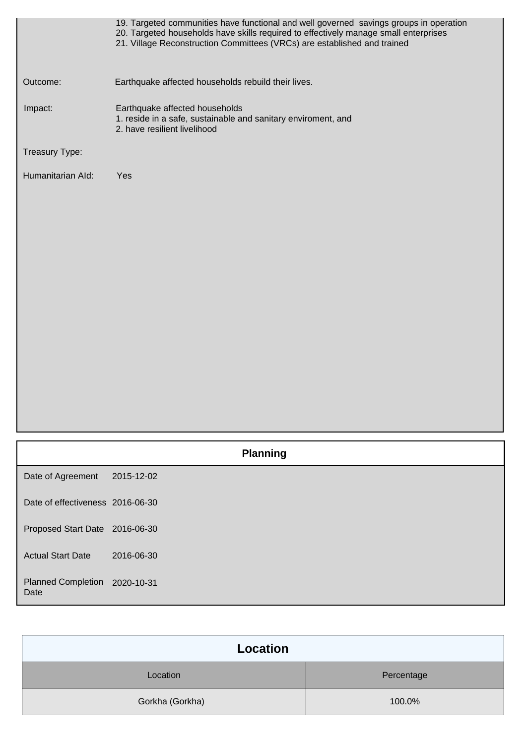|                   | 19. Targeted communities have functional and well governed savings groups in operation<br>20. Targeted households have skills required to effectively manage small enterprises<br>21. Village Reconstruction Committees (VRCs) are established and trained |
|-------------------|------------------------------------------------------------------------------------------------------------------------------------------------------------------------------------------------------------------------------------------------------------|
| Outcome:          | Earthquake affected households rebuild their lives.                                                                                                                                                                                                        |
| Impact:           | Earthquake affected households<br>1. reside in a safe, sustainable and sanitary enviroment, and<br>2. have resilient livelihood                                                                                                                            |
| Treasury Type:    |                                                                                                                                                                                                                                                            |
| Humanitarian Ald: | Yes                                                                                                                                                                                                                                                        |

|                                       | <b>Planning</b> |
|---------------------------------------|-----------------|
| Date of Agreement                     | 2015-12-02      |
| Date of effectiveness 2016-06-30      |                 |
| Proposed Start Date 2016-06-30        |                 |
| <b>Actual Start Date</b>              | 2016-06-30      |
| Planned Completion 2020-10-31<br>Date |                 |

| <b>Location</b> |            |
|-----------------|------------|
| Location        | Percentage |
| Gorkha (Gorkha) | 100.0%     |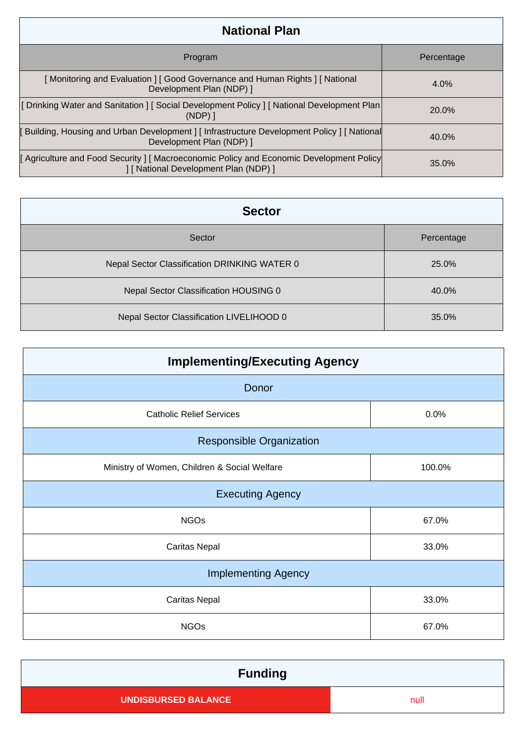| <b>National Plan</b>                                                                                                          |            |
|-------------------------------------------------------------------------------------------------------------------------------|------------|
| Program                                                                                                                       | Percentage |
| [Monitoring and Evaluation ] [ Good Governance and Human Rights ] [ National<br>Development Plan (NDP) ]                      | $4.0\%$    |
| [ Drinking Water and Sanitation ] [ Social Development Policy ] [ National Development Plan<br>$(NDP)$ ]                      | 20.0%      |
| [ Building, Housing and Urban Development ] [ Infrastructure Development Policy ] [ National<br>Development Plan (NDP) ]      | 40.0%      |
| Agriculture and Food Security   Macroeconomic Policy and Economic Development Policy<br>] [ National Development Plan (NDP) ] | 35.0%      |

| <b>Sector</b>                                |            |  |
|----------------------------------------------|------------|--|
| Sector                                       | Percentage |  |
| Nepal Sector Classification DRINKING WATER 0 | 25.0%      |  |
| Nepal Sector Classification HOUSING 0        | 40.0%      |  |
| Nepal Sector Classification LIVELIHOOD 0     | 35.0%      |  |

| <b>Implementing/Executing Agency</b>         |        |  |
|----------------------------------------------|--------|--|
| Donor                                        |        |  |
| <b>Catholic Relief Services</b>              | 0.0%   |  |
| <b>Responsible Organization</b>              |        |  |
| Ministry of Women, Children & Social Welfare | 100.0% |  |
| <b>Executing Agency</b>                      |        |  |
| <b>NGOs</b>                                  | 67.0%  |  |
| <b>Caritas Nepal</b>                         | 33.0%  |  |
| <b>Implementing Agency</b>                   |        |  |
| <b>Caritas Nepal</b>                         | 33.0%  |  |
| <b>NGOs</b>                                  | 67.0%  |  |

| <b>Funding</b>             |      |
|----------------------------|------|
| <b>UNDISBURSED BALANCE</b> | null |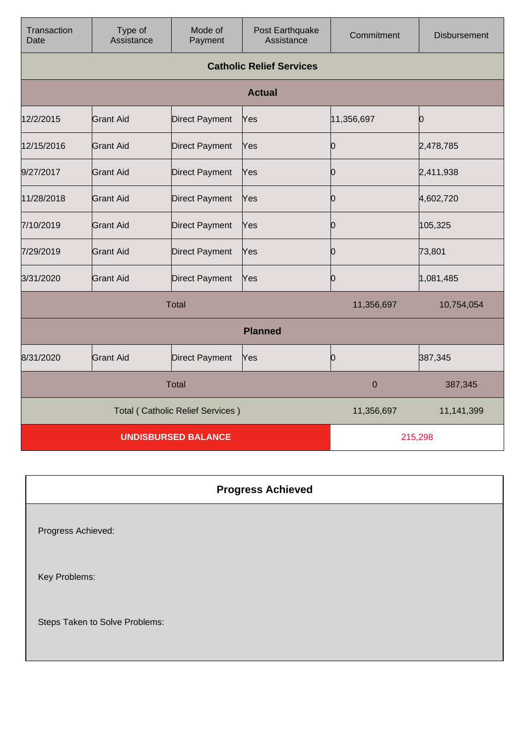| Transaction<br>Date                     | Type of<br>Assistance | Mode of<br>Payment    | Post Earthquake<br>Assistance   | Commitment | <b>Disbursement</b> |
|-----------------------------------------|-----------------------|-----------------------|---------------------------------|------------|---------------------|
|                                         |                       |                       | <b>Catholic Relief Services</b> |            |                     |
|                                         |                       |                       | <b>Actual</b>                   |            |                     |
| 12/2/2015                               | <b>Grant Aid</b>      | <b>Direct Payment</b> | Yes                             | 11,356,697 | 0                   |
| 12/15/2016                              | <b>Grant Aid</b>      | <b>Direct Payment</b> | Yes                             | 0          | 2,478,785           |
| 9/27/2017                               | Grant Aid             | <b>Direct Payment</b> | Yes                             | Ю          | 2,411,938           |
| 11/28/2018                              | <b>Grant Aid</b>      | <b>Direct Payment</b> | Yes                             | 0          | 4,602,720           |
| 7/10/2019                               | <b>Grant Aid</b>      | <b>Direct Payment</b> | Yes                             | 0          | 105,325             |
| 7/29/2019                               | <b>Grant Aid</b>      | <b>Direct Payment</b> | Yes                             | 10         | 73,801              |
| 3/31/2020                               | <b>Grant Aid</b>      | <b>Direct Payment</b> | Yes                             | 0          | 1,081,485           |
| <b>Total</b>                            |                       |                       | 11,356,697                      | 10,754,054 |                     |
|                                         |                       |                       | <b>Planned</b>                  |            |                     |
| 8/31/2020                               | <b>Grant Aid</b>      | <b>Direct Payment</b> | Yes                             | 0          | 387,345             |
| <b>Total</b>                            |                       |                       | $\mathbf 0$                     | 387,345    |                     |
| <b>Total (Catholic Relief Services)</b> |                       |                       | 11,356,697                      | 11,141,399 |                     |
| <b>UNDISBURSED BALANCE</b>              |                       |                       | 215,298                         |            |                     |

| <b>Progress Achieved</b>       |
|--------------------------------|
| Progress Achieved:             |
| Key Problems:                  |
| Steps Taken to Solve Problems: |